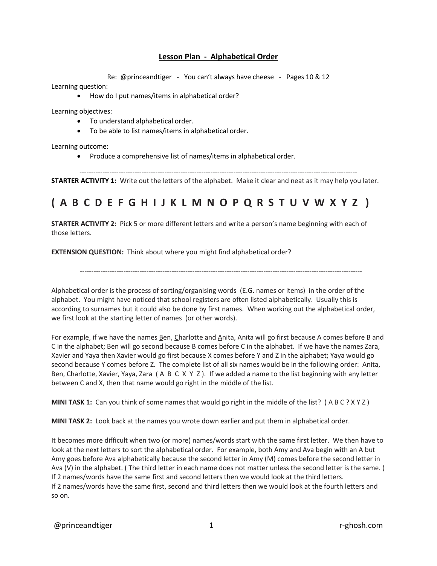## **Lesson Plan - Alphabetical Order**

Re: @princeandtiger - You can't always have cheese - Pages 10 & 12

Learning question:

• How do I put names/items in alphabetical order?

Learning objectives:

- To understand alphabetical order.
- To be able to list names/items in alphabetical order.

Learning outcome:

• Produce a comprehensive list of names/items in alphabetical order.

-------------------------------------------------------------------------------------------------------------------------

**STARTER ACTIVITY 1:** Write out the letters of the alphabet. Make it clear and neat as it may help you later.

## **( A B C D E F G H I J K L M N O P Q R S T U V W X Y Z )**

**STARTER ACTIVITY 2:** Pick 5 or more different letters and write a person's name beginning with each of those letters.

**EXTENSION QUESTION:** Think about where you might find alphabetical order?

---------------------------------------------------------------------------------------------------------------------------

Alphabetical order is the process of sorting/organising words (E.G. names or items) in the order of the alphabet. You might have noticed that school registers are often listed alphabetically. Usually this is according to surnames but it could also be done by first names. When working out the alphabetical order, we first look at the starting letter of names (or other words).

For example, if we have the names Ben, Charlotte and Anita, Anita will go first because A comes before B and C in the alphabet; Ben will go second because B comes before C in the alphabet. If we have the names Zara, Xavier and Yaya then Xavier would go first because X comes before Y and Z in the alphabet; Yaya would go second because Y comes before Z. The complete list of all six names would be in the following order: Anita, Ben, Charlotte, Xavier, Yaya, Zara (A B C X Y Z). If we added a name to the list beginning with any letter between C and X, then that name would go right in the middle of the list.

**MINI TASK 1:** Can you think of some names that would go right in the middle of the list? ( A B C ? X Y Z )

**MINI TASK 2:** Look back at the names you wrote down earlier and put them in alphabetical order.

It becomes more difficult when two (or more) names/words start with the same first letter. We then have to look at the next letters to sort the alphabetical order. For example, both Amy and Ava begin with an A but Amy goes before Ava alphabetically because the second letter in Amy (M) comes before the second letter in Ava (V) in the alphabet. ( The third letter in each name does not matter unless the second letter is the same. ) If 2 names/words have the same first and second letters then we would look at the third letters. If 2 names/words have the same first, second and third letters then we would look at the fourth letters and so on.